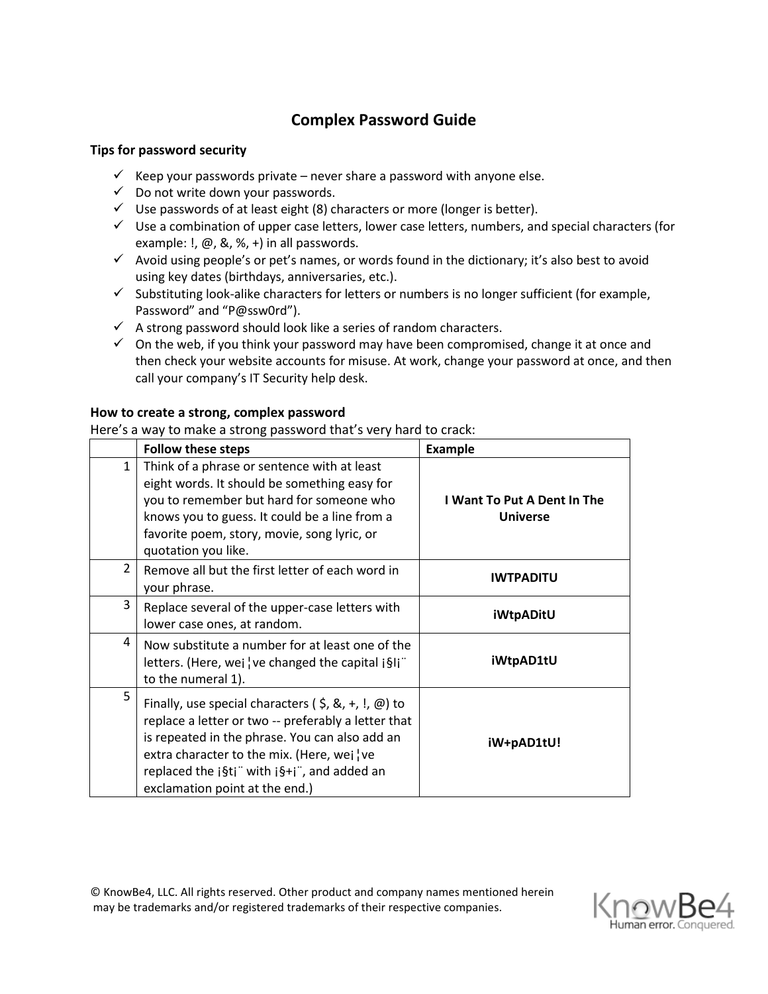# **Complex Password Guide**

## **Tips for password security**

- $\checkmark$  Keep your passwords private never share a password with anyone else.
- $\checkmark$  Do not write down your passwords.
- $\checkmark$  Use passwords of at least eight (8) characters or more (longer is better).
- $\checkmark$  Use a combination of upper case letters, lower case letters, numbers, and special characters (for example:  $\mathsf{I}, \varpi, \mathsf{A}, \mathsf{A}, \mathsf{A}$  in all passwords.
- $\checkmark$  Avoid using people's or pet's names, or words found in the dictionary; it's also best to avoid using key dates (birthdays, anniversaries, etc.).
- $\checkmark$  Substituting look-alike characters for letters or numbers is no longer sufficient (for example, Password" and "P@ssw0rd").
- $\checkmark$  A strong password should look like a series of random characters.
- $\checkmark$  On the web, if you think your password may have been compromised, change it at once and then check your website accounts for misuse. At work, change your password at once, and then call your company's IT Security help desk.

# **How to create a strong, complex password**

Here's a way to make a strong password that's very hard to crack:

|                | <b>Follow these steps</b>                                                                                                                                                                                                                                                                               | <b>Example</b>                                 |
|----------------|---------------------------------------------------------------------------------------------------------------------------------------------------------------------------------------------------------------------------------------------------------------------------------------------------------|------------------------------------------------|
| 1              | Think of a phrase or sentence with at least<br>eight words. It should be something easy for<br>you to remember but hard for someone who<br>knows you to guess. It could be a line from a<br>favorite poem, story, movie, song lyric, or<br>quotation you like.                                          | I Want To Put A Dent In The<br><b>Universe</b> |
| $\overline{2}$ | Remove all but the first letter of each word in<br>your phrase.                                                                                                                                                                                                                                         | <b>IWTPADITU</b>                               |
| 3              | Replace several of the upper-case letters with<br>lower case ones, at random.                                                                                                                                                                                                                           | <b>iWtpADitU</b>                               |
| 4              | Now substitute a number for at least one of the<br>letters. (Here, wej ve changed the capital $\frac{1}{2}$ ij <sup>"</sup><br>to the numeral 1).                                                                                                                                                       | iWtpAD1tU                                      |
| 5              | Finally, use special characters ( $\zeta$ , &, +, !, @) to<br>replace a letter or two -- preferably a letter that<br>is repeated in the phrase. You can also add an<br>extra character to the mix. (Here, wei ve<br>replaced the $i$ §ti" with $i$ §+i", and added an<br>exclamation point at the end.) | iW+pAD1tU!                                     |

© KnowBe4, LLC. All rights reserved. Other product and company names mentioned herein may be trademarks and/or registered trademarks of their respective companies.